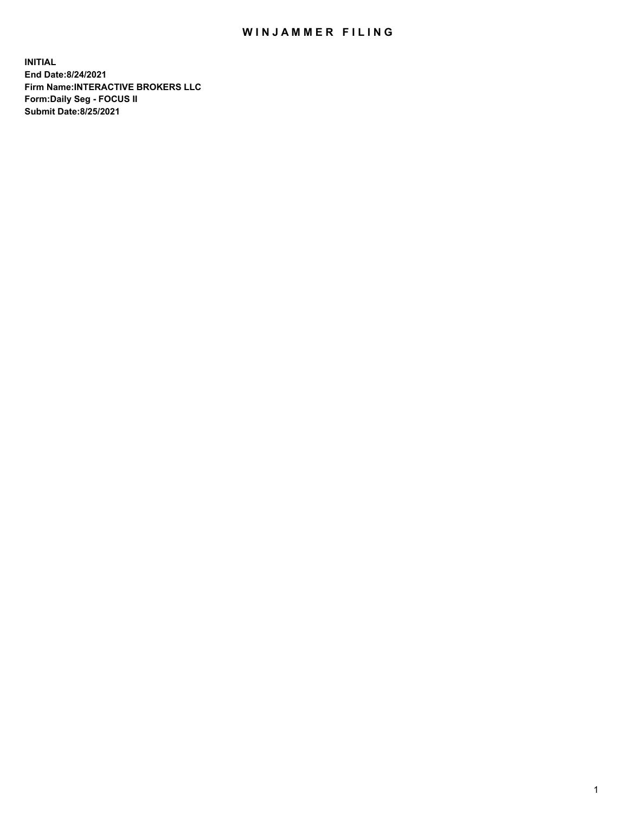## WIN JAMMER FILING

**INITIAL End Date:8/24/2021 Firm Name:INTERACTIVE BROKERS LLC Form:Daily Seg - FOCUS II Submit Date:8/25/2021**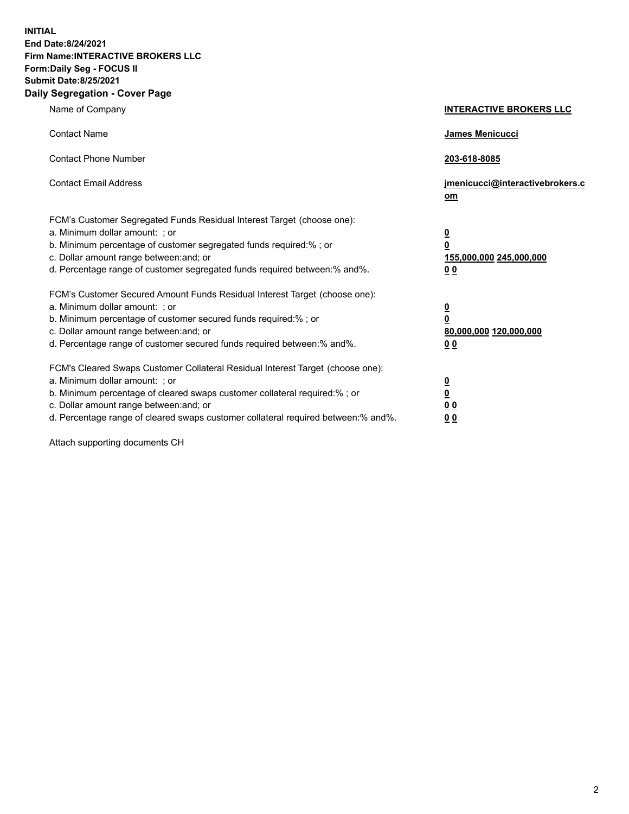**INITIAL End Date:8/24/2021 Firm Name:INTERACTIVE BROKERS LLC Form:Daily Seg - FOCUS II Submit Date:8/25/2021 Daily Segregation - Cover Page**

| Name of Company                                                                                                                                                                                                                                                                                                                | <b>INTERACTIVE BROKERS LLC</b>                                                                 |  |
|--------------------------------------------------------------------------------------------------------------------------------------------------------------------------------------------------------------------------------------------------------------------------------------------------------------------------------|------------------------------------------------------------------------------------------------|--|
| <b>Contact Name</b>                                                                                                                                                                                                                                                                                                            | <b>James Menicucci</b>                                                                         |  |
| <b>Contact Phone Number</b>                                                                                                                                                                                                                                                                                                    | 203-618-8085                                                                                   |  |
| <b>Contact Email Address</b>                                                                                                                                                                                                                                                                                                   | jmenicucci@interactivebrokers.c<br>om                                                          |  |
| FCM's Customer Segregated Funds Residual Interest Target (choose one):<br>a. Minimum dollar amount: ; or<br>b. Minimum percentage of customer segregated funds required:% ; or<br>c. Dollar amount range between: and; or<br>d. Percentage range of customer segregated funds required between:% and%.                         | $\overline{\mathbf{0}}$<br>$\overline{\mathbf{0}}$<br>155,000,000 245,000,000<br>00            |  |
| FCM's Customer Secured Amount Funds Residual Interest Target (choose one):<br>a. Minimum dollar amount: ; or<br>b. Minimum percentage of customer secured funds required:% ; or<br>c. Dollar amount range between: and; or<br>d. Percentage range of customer secured funds required between:% and%.                           | $\overline{\mathbf{0}}$<br>$\overline{\mathbf{0}}$<br>80,000,000 120,000,000<br>0 <sub>0</sub> |  |
| FCM's Cleared Swaps Customer Collateral Residual Interest Target (choose one):<br>a. Minimum dollar amount: ; or<br>b. Minimum percentage of cleared swaps customer collateral required:% ; or<br>c. Dollar amount range between: and; or<br>d. Percentage range of cleared swaps customer collateral required between:% and%. | $\overline{\mathbf{0}}$<br><u>0</u><br>0 <sub>0</sub><br>0 <sub>0</sub>                        |  |

Attach supporting documents CH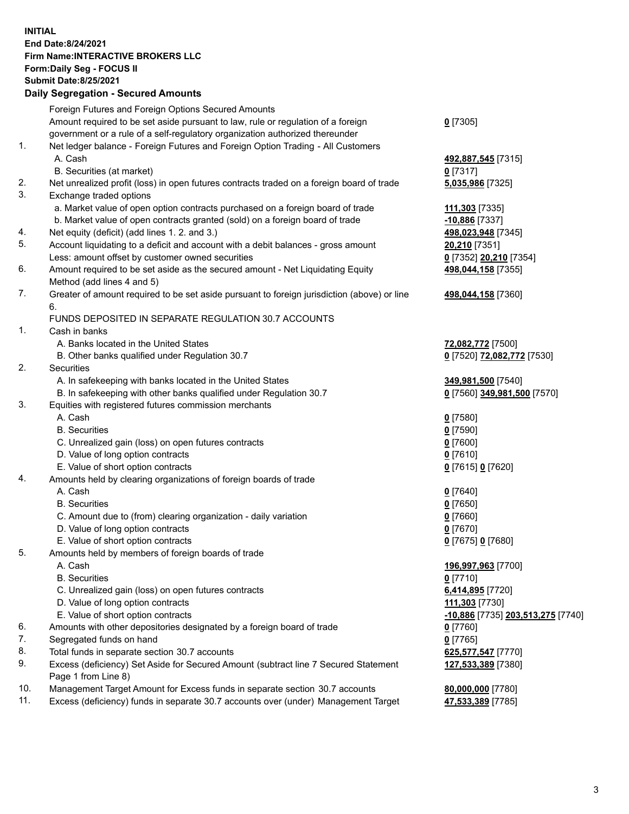**INITIAL End Date:8/24/2021 Firm Name:INTERACTIVE BROKERS LLC Form:Daily Seg - FOCUS II Submit Date:8/25/2021 Daily Segregation - Secured Amounts**

## Foreign Futures and Foreign Options Secured Amounts Amount required to be set aside pursuant to law, rule or regulation of a foreign government or a rule of a self-regulatory organization authorized thereunder **0** [7305] 1. Net ledger balance - Foreign Futures and Foreign Option Trading - All Customers A. Cash **492,887,545** [7315] B. Securities (at market) **0** [7317] 2. Net unrealized profit (loss) in open futures contracts traded on a foreign board of trade **5,035,986** [7325] 3. Exchange traded options a. Market value of open option contracts purchased on a foreign board of trade **111,303** [7335] b. Market value of open contracts granted (sold) on a foreign board of trade **-10,886** [7337] 4. Net equity (deficit) (add lines 1. 2. and 3.) **498,023,948** [7345] 5. Account liquidating to a deficit and account with a debit balances - gross amount **20,210** [7351] Less: amount offset by customer owned securities **0** [7352] **20,210** [7354] 6. Amount required to be set aside as the secured amount - Net Liquidating Equity Method (add lines 4 and 5) **498,044,158** [7355] 7. Greater of amount required to be set aside pursuant to foreign jurisdiction (above) or line 6. **498,044,158** [7360] FUNDS DEPOSITED IN SEPARATE REGULATION 30.7 ACCOUNTS 1. Cash in banks A. Banks located in the United States **72,082,772** [7500] B. Other banks qualified under Regulation 30.7 **0** [7520] **72,082,772** [7530] 2. Securities A. In safekeeping with banks located in the United States **349,981,500** [7540] B. In safekeeping with other banks qualified under Regulation 30.7 **0** [7560] **349,981,500** [7570] 3. Equities with registered futures commission merchants A. Cash **0** [7580] B. Securities **0** [7590] C. Unrealized gain (loss) on open futures contracts **0** [7600] D. Value of long option contracts **0** [7610] E. Value of short option contracts **0** [7615] **0** [7620] 4. Amounts held by clearing organizations of foreign boards of trade A. Cash **0** [7640] B. Securities **0** [7650] C. Amount due to (from) clearing organization - daily variation **0** [7660] D. Value of long option contracts **0** [7670] E. Value of short option contracts **0** [7675] **0** [7680] 5. Amounts held by members of foreign boards of trade A. Cash **196,997,963** [7700] B. Securities **0** [7710] C. Unrealized gain (loss) on open futures contracts **6,414,895** [7720] D. Value of long option contracts **111,303** [7730] E. Value of short option contracts **-10,886** [7735] **203,513,275** [7740] 6. Amounts with other depositories designated by a foreign board of trade **0** [7760] 7. Segregated funds on hand **0** [7765] 8. Total funds in separate section 30.7 accounts **625,577,547** [7770] 9. Excess (deficiency) Set Aside for Secured Amount (subtract line 7 Secured Statement Page 1 from Line 8) **127,533,389** [7380] 10. Management Target Amount for Excess funds in separate section 30.7 accounts **80,000,000** [7780] 11. Excess (deficiency) funds in separate 30.7 accounts over (under) Management Target **47,533,389** [7785]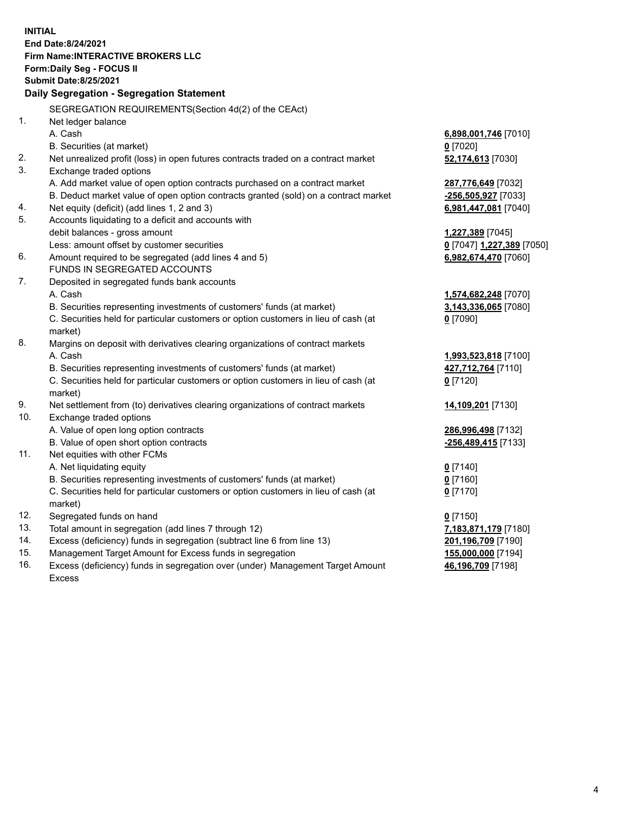**INITIAL End Date:8/24/2021 Firm Name:INTERACTIVE BROKERS LLC Form:Daily Seg - FOCUS II Submit Date:8/25/2021 Daily Segregation - Segregation Statement** SEGREGATION REQUIREMENTS(Section 4d(2) of the CEAct) 1. Net ledger balance A. Cash **6,898,001,746** [7010] B. Securities (at market) **0** [7020] 2. Net unrealized profit (loss) in open futures contracts traded on a contract market **52,174,613** [7030] 3. Exchange traded options A. Add market value of open option contracts purchased on a contract market **287,776,649** [7032] B. Deduct market value of open option contracts granted (sold) on a contract market **-256,505,927** [7033] 4. Net equity (deficit) (add lines 1, 2 and 3) **6,981,447,081** [7040] 5. Accounts liquidating to a deficit and accounts with debit balances - gross amount **1,227,389** [7045] Less: amount offset by customer securities **0** [7047] **1,227,389** [7050] 6. Amount required to be segregated (add lines 4 and 5) **6,982,674,470** [7060] FUNDS IN SEGREGATED ACCOUNTS 7. Deposited in segregated funds bank accounts A. Cash **1,574,682,248** [7070] B. Securities representing investments of customers' funds (at market) **3,143,336,065** [7080] C. Securities held for particular customers or option customers in lieu of cash (at market) **0** [7090] 8. Margins on deposit with derivatives clearing organizations of contract markets A. Cash **1,993,523,818** [7100] B. Securities representing investments of customers' funds (at market) **427,712,764** [7110] C. Securities held for particular customers or option customers in lieu of cash (at market) **0** [7120] 9. Net settlement from (to) derivatives clearing organizations of contract markets **14,109,201** [7130] 10. Exchange traded options A. Value of open long option contracts **286,996,498** [7132] B. Value of open short option contracts **-256,489,415** [7133] 11. Net equities with other FCMs A. Net liquidating equity **0** [7140] B. Securities representing investments of customers' funds (at market) **0** [7160] C. Securities held for particular customers or option customers in lieu of cash (at market) **0** [7170] 12. Segregated funds on hand **0** [7150] 13. Total amount in segregation (add lines 7 through 12) **7,183,871,179** [7180] 14. Excess (deficiency) funds in segregation (subtract line 6 from line 13) **201,196,709** [7190] 15. Management Target Amount for Excess funds in segregation **155,000,000** [7194] 16. Excess (deficiency) funds in segregation over (under) Management Target Amount **46,196,709** [7198]

Excess